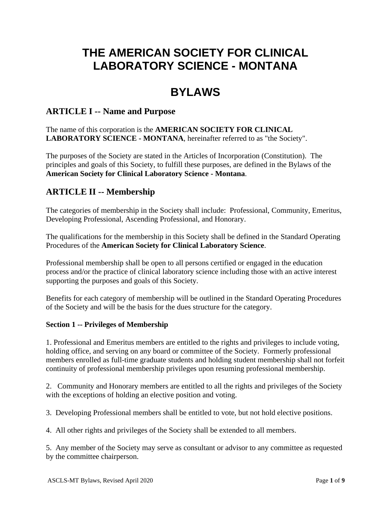# **THE AMERICAN SOCIETY FOR CLINICAL LABORATORY SCIENCE - MONTANA**

# **BYLAWS**

# **ARTICLE I -- Name and Purpose**

The name of this corporation is the **AMERICAN SOCIETY FOR CLINICAL LABORATORY SCIENCE - MONTANA**, hereinafter referred to as "the Society".

The purposes of the Society are stated in the Articles of Incorporation (Constitution). The principles and goals of this Society, to fulfill these purposes, are defined in the Bylaws of the **American Society for Clinical Laboratory Science - Montana**.

# **ARTICLE II -- Membership**

The categories of membership in the Society shall include: Professional, Community, Emeritus, Developing Professional, Ascending Professional, and Honorary.

The qualifications for the membership in this Society shall be defined in the Standard Operating Procedures of the **American Society for Clinical Laboratory Science**.

Professional membership shall be open to all persons certified or engaged in the education process and/or the practice of clinical laboratory science including those with an active interest supporting the purposes and goals of this Society.

Benefits for each category of membership will be outlined in the Standard Operating Procedures of the Society and will be the basis for the dues structure for the category.

## **Section 1 -- Privileges of Membership**

1. Professional and Emeritus members are entitled to the rights and privileges to include voting, holding office, and serving on any board or committee of the Society. Formerly professional members enrolled as full-time graduate students and holding student membership shall not forfeit continuity of professional membership privileges upon resuming professional membership.

2. Community and Honorary members are entitled to all the rights and privileges of the Society with the exceptions of holding an elective position and voting.

3. Developing Professional members shall be entitled to vote, but not hold elective positions.

4. All other rights and privileges of the Society shall be extended to all members.

5. Any member of the Society may serve as consultant or advisor to any committee as requested by the committee chairperson.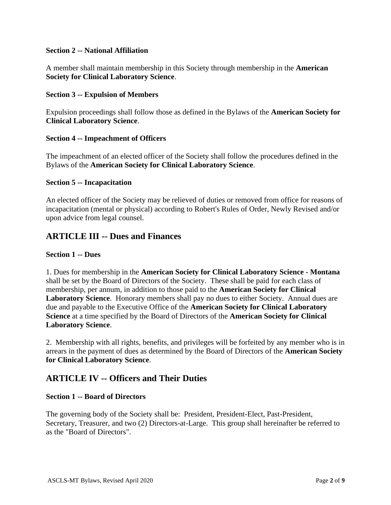#### **Section 2 -- National Affiliation**

A member shall maintain membership in this Society through membership in the **American Society for Clinical Laboratory Science**.

#### **Section 3 -- Expulsion of Members**

Expulsion proceedings shall follow those as defined in the Bylaws of the **American Society for Clinical Laboratory Science**.

#### **Section 4 -- Impeachment of Officers**

The impeachment of an elected officer of the Society shall follow the procedures defined in the Bylaws of the **American Society for Clinical Laboratory Science**.

#### **Section 5 -- Incapacitation**

An elected officer of the Society may be relieved of duties or removed from office for reasons of incapacitation (mental or physical) according to Robert's Rules of Order, Newly Revised and/or upon advice from legal counsel.

# **ARTICLE III -- Dues and Finances**

#### **Section 1 -- Dues**

1. Dues for membership in the **American Society for Clinical Laboratory Science - Montana** shall be set by the Board of Directors of the Society. These shall be paid for each class of membership, per annum, in addition to those paid to the **American Society for Clinical Laboratory Science**. Honorary members shall pay no dues to either Society. Annual dues are due and payable to the Executive Office of the **American Society for Clinical Laboratory Science** at a time specified by the Board of Directors of the **American Society for Clinical Laboratory Science**.

2. Membership with all rights, benefits, and privileges will be forfeited by any member who is in arrears in the payment of dues as determined by the Board of Directors of the **American Society for Clinical Laboratory Science**.

## **ARTICLE IV -- Officers and Their Duties**

#### **Section 1 -- Board of Directors**

The governing body of the Society shall be: President, President-Elect, Past-President, Secretary, Treasurer, and two (2) Directors-at-Large. This group shall hereinafter be referred to as the "Board of Directors".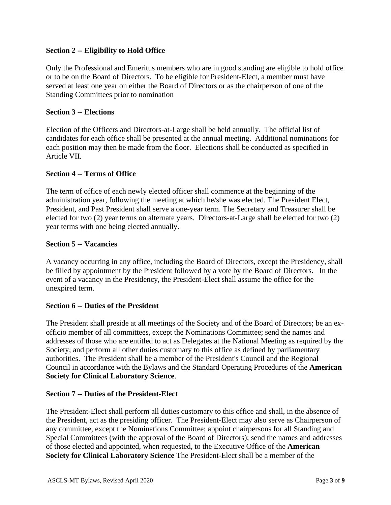### **Section 2 -- Eligibility to Hold Office**

Only the Professional and Emeritus members who are in good standing are eligible to hold office or to be on the Board of Directors. To be eligible for President-Elect, a member must have served at least one year on either the Board of Directors or as the chairperson of one of the Standing Committees prior to nomination

#### **Section 3 -- Elections**

Election of the Officers and Directors-at-Large shall be held annually. The official list of candidates for each office shall be presented at the annual meeting. Additional nominations for each position may then be made from the floor. Elections shall be conducted as specified in Article VII.

#### **Section 4 -- Terms of Office**

The term of office of each newly elected officer shall commence at the beginning of the administration year, following the meeting at which he/she was elected. The President Elect, President, and Past President shall serve a one-year term. The Secretary and Treasurer shall be elected for two (2) year terms on alternate years. Directors-at-Large shall be elected for two (2) year terms with one being elected annually.

#### **Section 5 -- Vacancies**

A vacancy occurring in any office, including the Board of Directors, except the Presidency, shall be filled by appointment by the President followed by a vote by the Board of Directors. In the event of a vacancy in the Presidency, the President-Elect shall assume the office for the unexpired term.

#### **Section 6 -- Duties of the President**

The President shall preside at all meetings of the Society and of the Board of Directors; be an exofficio member of all committees, except the Nominations Committee; send the names and addresses of those who are entitled to act as Delegates at the National Meeting as required by the Society; and perform all other duties customary to this office as defined by parliamentary authorities. The President shall be a member of the President's Council and the Regional Council in accordance with the Bylaws and the Standard Operating Procedures of the **American Society for Clinical Laboratory Science**.

#### **Section 7 -- Duties of the President-Elect**

The President-Elect shall perform all duties customary to this office and shall, in the absence of the President, act as the presiding officer. The President-Elect may also serve as Chairperson of any committee, except the Nominations Committee; appoint chairpersons for all Standing and Special Committees (with the approval of the Board of Directors); send the names and addresses of those elected and appointed, when requested, to the Executive Office of the **American Society for Clinical Laboratory Science** The President-Elect shall be a member of the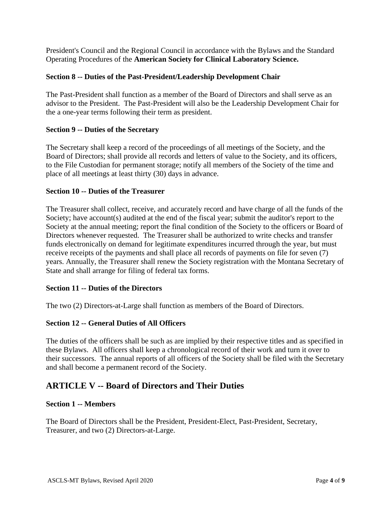President's Council and the Regional Council in accordance with the Bylaws and the Standard Operating Procedures of the **American Society for Clinical Laboratory Science.**

#### **Section 8 -- Duties of the Past-President/Leadership Development Chair**

The Past-President shall function as a member of the Board of Directors and shall serve as an advisor to the President. The Past-President will also be the Leadership Development Chair for the a one-year terms following their term as president.

#### **Section 9 -- Duties of the Secretary**

The Secretary shall keep a record of the proceedings of all meetings of the Society, and the Board of Directors; shall provide all records and letters of value to the Society, and its officers, to the File Custodian for permanent storage; notify all members of the Society of the time and place of all meetings at least thirty (30) days in advance.

#### **Section 10 -- Duties of the Treasurer**

The Treasurer shall collect, receive, and accurately record and have charge of all the funds of the Society; have account(s) audited at the end of the fiscal year; submit the auditor's report to the Society at the annual meeting; report the final condition of the Society to the officers or Board of Directors whenever requested. The Treasurer shall be authorized to write checks and transfer funds electronically on demand for legitimate expenditures incurred through the year, but must receive receipts of the payments and shall place all records of payments on file for seven (7) years. Annually, the Treasurer shall renew the Society registration with the Montana Secretary of State and shall arrange for filing of federal tax forms.

#### **Section 11 -- Duties of the Directors**

The two (2) Directors-at-Large shall function as members of the Board of Directors.

## **Section 12 -- General Duties of All Officers**

The duties of the officers shall be such as are implied by their respective titles and as specified in these Bylaws. All officers shall keep a chronological record of their work and turn it over to their successors. The annual reports of all officers of the Society shall be filed with the Secretary and shall become a permanent record of the Society.

## **ARTICLE V -- Board of Directors and Their Duties**

#### **Section 1 -- Members**

The Board of Directors shall be the President, President-Elect, Past-President, Secretary, Treasurer, and two (2) Directors-at-Large.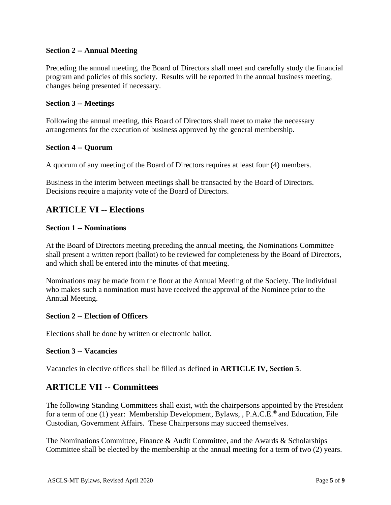#### **Section 2 -- Annual Meeting**

Preceding the annual meeting, the Board of Directors shall meet and carefully study the financial program and policies of this society. Results will be reported in the annual business meeting, changes being presented if necessary.

#### **Section 3 -- Meetings**

Following the annual meeting, this Board of Directors shall meet to make the necessary arrangements for the execution of business approved by the general membership.

#### **Section 4 -- Quorum**

A quorum of any meeting of the Board of Directors requires at least four (4) members.

Business in the interim between meetings shall be transacted by the Board of Directors. Decisions require a majority vote of the Board of Directors.

# **ARTICLE VI -- Elections**

#### **Section 1 -- Nominations**

At the Board of Directors meeting preceding the annual meeting, the Nominations Committee shall present a written report (ballot) to be reviewed for completeness by the Board of Directors, and which shall be entered into the minutes of that meeting.

Nominations may be made from the floor at the Annual Meeting of the Society. The individual who makes such a nomination must have received the approval of the Nominee prior to the Annual Meeting.

#### **Section 2 -- Election of Officers**

Elections shall be done by written or electronic ballot.

#### **Section 3 -- Vacancies**

Vacancies in elective offices shall be filled as defined in **ARTICLE IV, Section 5**.

## **ARTICLE VII -- Committees**

The following Standing Committees shall exist, with the chairpersons appointed by the President for a term of one (1) year: Membership Development, Bylaws, , P.A.C.E.<sup>®</sup> and Education, File Custodian, Government Affairs. These Chairpersons may succeed themselves.

The Nominations Committee, Finance & Audit Committee, and the Awards & Scholarships Committee shall be elected by the membership at the annual meeting for a term of two (2) years.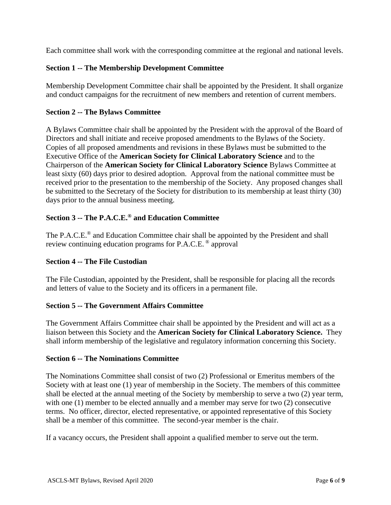Each committee shall work with the corresponding committee at the regional and national levels.

## **Section 1 -- The Membership Development Committee**

Membership Development Committee chair shall be appointed by the President. It shall organize and conduct campaigns for the recruitment of new members and retention of current members.

## **Section 2 -- The Bylaws Committee**

A Bylaws Committee chair shall be appointed by the President with the approval of the Board of Directors and shall initiate and receive proposed amendments to the Bylaws of the Society. Copies of all proposed amendments and revisions in these Bylaws must be submitted to the Executive Office of the **American Society for Clinical Laboratory Science** and to the Chairperson of the **American Society for Clinical Laboratory Science** Bylaws Committee at least sixty (60) days prior to desired adoption. Approval from the national committee must be received prior to the presentation to the membership of the Society. Any proposed changes shall be submitted to the Secretary of the Society for distribution to its membership at least thirty (30) days prior to the annual business meeting.

## **Section 3 -- The P.A.C.E.® and Education Committee**

The P.A.C.E.<sup>®</sup> and Education Committee chair shall be appointed by the President and shall review continuing education programs for P.A.C.E. ® approval

## **Section 4 -- The File Custodian**

The File Custodian, appointed by the President, shall be responsible for placing all the records and letters of value to the Society and its officers in a permanent file.

## **Section 5 -- The Government Affairs Committee**

The Government Affairs Committee chair shall be appointed by the President and will act as a liaison between this Society and the **American Society for Clinical Laboratory Science.** They shall inform membership of the legislative and regulatory information concerning this Society.

## **Section 6 -- The Nominations Committee**

The Nominations Committee shall consist of two (2) Professional or Emeritus members of the Society with at least one (1) year of membership in the Society. The members of this committee shall be elected at the annual meeting of the Society by membership to serve a two (2) year term, with one (1) member to be elected annually and a member may serve for two (2) consecutive terms. No officer, director, elected representative, or appointed representative of this Society shall be a member of this committee. The second-year member is the chair.

If a vacancy occurs, the President shall appoint a qualified member to serve out the term.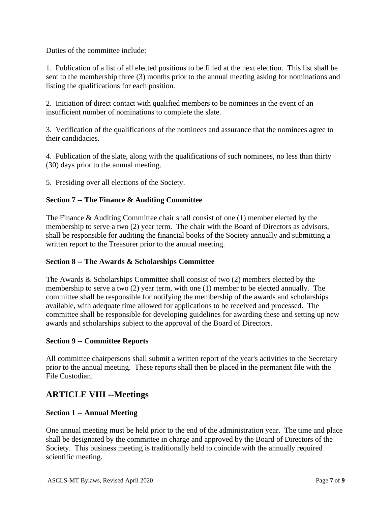Duties of the committee include:

1. Publication of a list of all elected positions to be filled at the next election. This list shall be sent to the membership three (3) months prior to the annual meeting asking for nominations and listing the qualifications for each position.

2. Initiation of direct contact with qualified members to be nominees in the event of an insufficient number of nominations to complete the slate.

3. Verification of the qualifications of the nominees and assurance that the nominees agree to their candidacies.

4. Publication of the slate, along with the qualifications of such nominees, no less than thirty (30) days prior to the annual meeting.

5. Presiding over all elections of the Society.

#### **Section 7 -- The Finance & Auditing Committee**

The Finance & Auditing Committee chair shall consist of one (1) member elected by the membership to serve a two (2) year term. The chair with the Board of Directors as advisors, shall be responsible for auditing the financial books of the Society annually and submitting a written report to the Treasurer prior to the annual meeting.

#### **Section 8 -- The Awards & Scholarships Committee**

The Awards & Scholarships Committee shall consist of two (2) members elected by the membership to serve a two (2) year term, with one (1) member to be elected annually. The committee shall be responsible for notifying the membership of the awards and scholarships available, with adequate time allowed for applications to be received and processed. The committee shall be responsible for developing guidelines for awarding these and setting up new awards and scholarships subject to the approval of the Board of Directors.

#### **Section 9 -- Committee Reports**

All committee chairpersons shall submit a written report of the year's activities to the Secretary prior to the annual meeting. These reports shall then be placed in the permanent file with the File Custodian.

# **ARTICLE VIII --Meetings**

## **Section 1 -- Annual Meeting**

One annual meeting must be held prior to the end of the administration year. The time and place shall be designated by the committee in charge and approved by the Board of Directors of the Society. This business meeting is traditionally held to coincide with the annually required scientific meeting.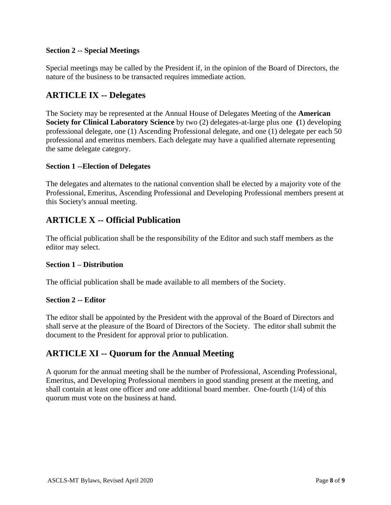## **Section 2 -- Special Meetings**

Special meetings may be called by the President if, in the opinion of the Board of Directors, the nature of the business to be transacted requires immediate action.

## **ARTICLE IX -- Delegates**

The Society may be represented at the Annual House of Delegates Meeting of the **American Society for Clinical Laboratory Science** by two (2) delegates-at-large plus one **(**1) developing professional delegate, one (1) Ascending Professional delegate, and one (1) delegate per each 50 professional and emeritus members. Each delegate may have a qualified alternate representing the same delegate category.

#### **Section 1 --Election of Delegates**

The delegates and alternates to the national convention shall be elected by a majority vote of the Professional, Emeritus, Ascending Professional and Developing Professional members present at this Society's annual meeting.

# **ARTICLE X -- Official Publication**

The official publication shall be the responsibility of the Editor and such staff members as the editor may select.

#### **Section 1 – Distribution**

The official publication shall be made available to all members of the Society.

#### **Section 2 -- Editor**

The editor shall be appointed by the President with the approval of the Board of Directors and shall serve at the pleasure of the Board of Directors of the Society. The editor shall submit the document to the President for approval prior to publication.

# **ARTICLE XI -- Quorum for the Annual Meeting**

A quorum for the annual meeting shall be the number of Professional, Ascending Professional, Emeritus, and Developing Professional members in good standing present at the meeting, and shall contain at least one officer and one additional board member. One-fourth (1/4) of this quorum must vote on the business at hand.